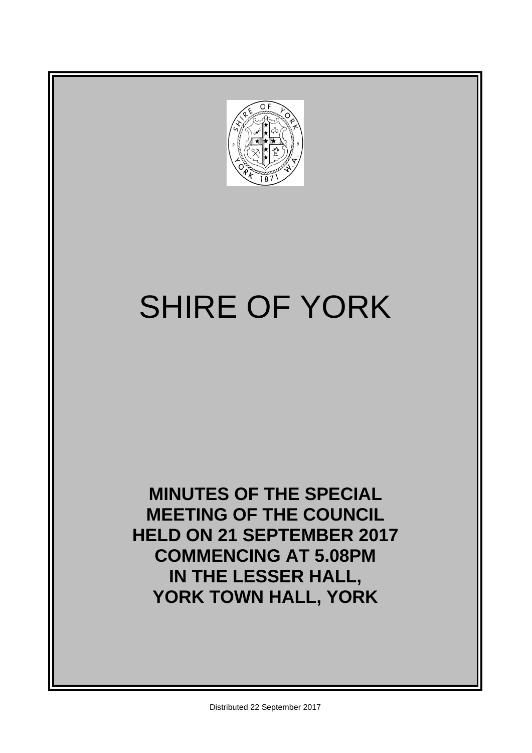

# SHIRE OF YORK

**MINUTES OF THE SPECIAL MEETING OF THE COUNCIL HELD ON 21 SEPTEMBER 2017 COMMENCING AT 5.08PM IN THE LESSER HALL, YORK TOWN HALL, YORK**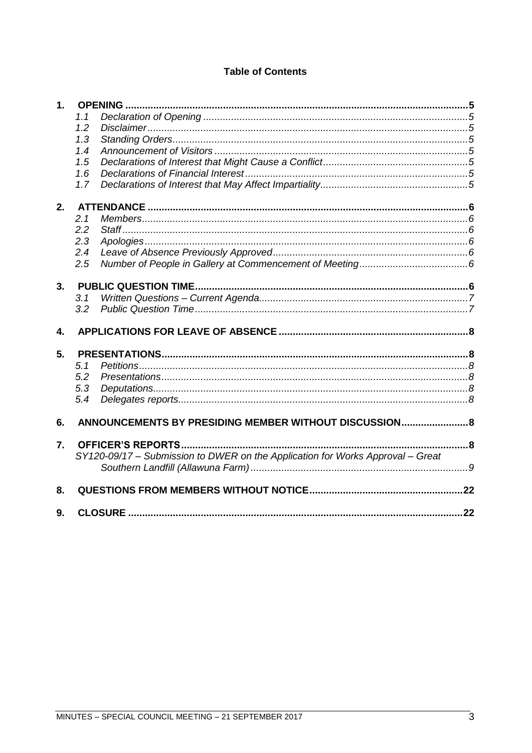# **Table of Contents**

| <b>OPENING</b><br>1. |                                                                                |     |  |  |  |  |
|----------------------|--------------------------------------------------------------------------------|-----|--|--|--|--|
|                      | 1.1                                                                            |     |  |  |  |  |
|                      | 1.2                                                                            |     |  |  |  |  |
|                      | 1.3                                                                            |     |  |  |  |  |
|                      | 1.4                                                                            |     |  |  |  |  |
|                      | 1.5                                                                            |     |  |  |  |  |
|                      | 1.6                                                                            |     |  |  |  |  |
|                      | 1.7                                                                            |     |  |  |  |  |
| 2.                   |                                                                                |     |  |  |  |  |
|                      | 2.1                                                                            |     |  |  |  |  |
|                      | 2.2                                                                            |     |  |  |  |  |
|                      | 2.3                                                                            |     |  |  |  |  |
|                      | 2.4                                                                            |     |  |  |  |  |
|                      | 2.5                                                                            |     |  |  |  |  |
| 3.                   |                                                                                |     |  |  |  |  |
|                      | 3.1                                                                            |     |  |  |  |  |
|                      | 3.2                                                                            |     |  |  |  |  |
|                      |                                                                                |     |  |  |  |  |
| 4.                   |                                                                                |     |  |  |  |  |
| 5.                   |                                                                                |     |  |  |  |  |
|                      | 5.1                                                                            |     |  |  |  |  |
|                      | 5.2                                                                            |     |  |  |  |  |
|                      | 5.3                                                                            |     |  |  |  |  |
|                      | 5.4                                                                            |     |  |  |  |  |
| 6.                   | ANNOUNCEMENTS BY PRESIDING MEMBER WITHOUT DISCUSSION 8                         |     |  |  |  |  |
| 7.                   | <b>OFFICER'S REPORTS</b>                                                       | 8   |  |  |  |  |
|                      | SY120-09/17 - Submission to DWER on the Application for Works Approval - Great |     |  |  |  |  |
|                      |                                                                                |     |  |  |  |  |
| 8.                   |                                                                                |     |  |  |  |  |
| 9.                   |                                                                                | .22 |  |  |  |  |
|                      |                                                                                |     |  |  |  |  |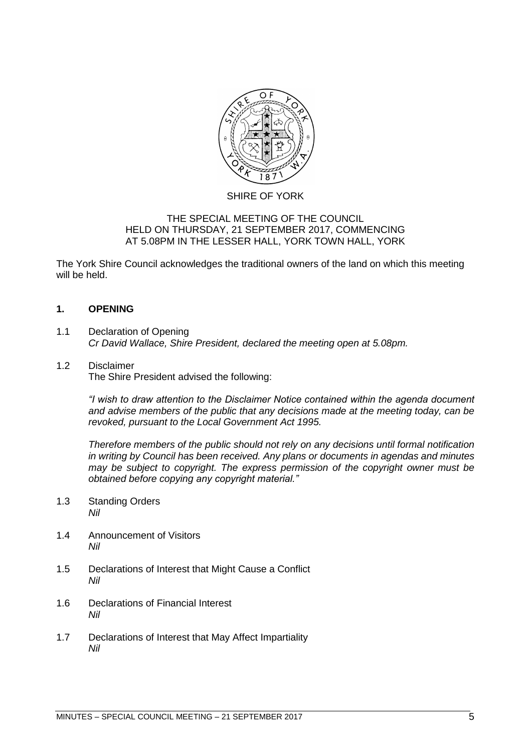

# SHIRE OF YORK

# THE SPECIAL MEETING OF THE COUNCIL HELD ON THURSDAY, 21 SEPTEMBER 2017, COMMENCING AT 5.08PM IN THE LESSER HALL, YORK TOWN HALL, YORK

The York Shire Council acknowledges the traditional owners of the land on which this meeting will be held.

# <span id="page-4-0"></span>**1. OPENING**

- <span id="page-4-1"></span>1.1 Declaration of Opening *Cr David Wallace, Shire President, declared the meeting open at 5.08pm.*
- <span id="page-4-2"></span>1.2 Disclaimer The Shire President advised the following:

*"I wish to draw attention to the Disclaimer Notice contained within the agenda document and advise members of the public that any decisions made at the meeting today, can be revoked, pursuant to the Local Government Act 1995.* 

*Therefore members of the public should not rely on any decisions until formal notification in writing by Council has been received. Any plans or documents in agendas and minutes may be subject to copyright. The express permission of the copyright owner must be obtained before copying any copyright material."*

- <span id="page-4-3"></span>1.3 Standing Orders *Nil*
- <span id="page-4-4"></span>1.4 Announcement of Visitors *Nil*
- <span id="page-4-5"></span>1.5 Declarations of Interest that Might Cause a Conflict *Nil*
- <span id="page-4-6"></span>1.6 Declarations of Financial Interest *Nil*
- <span id="page-4-7"></span>1.7 Declarations of Interest that May Affect Impartiality *Nil*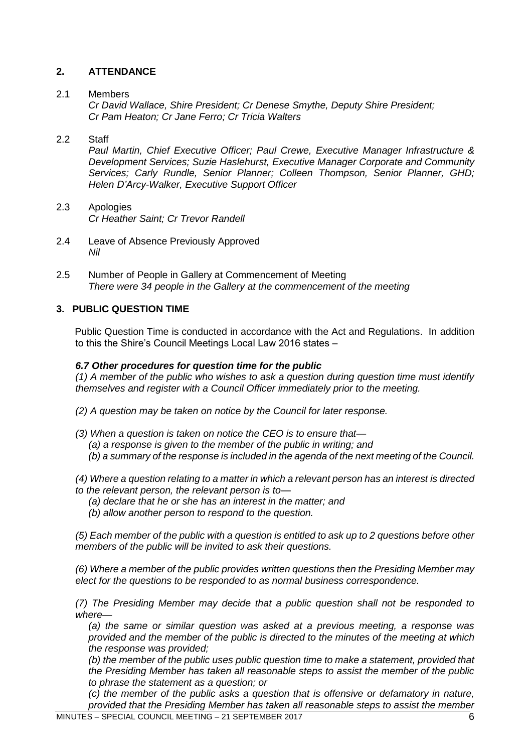# <span id="page-5-0"></span>**2. ATTENDANCE**

# <span id="page-5-1"></span>2.1 Members

*Cr David Wallace, Shire President; Cr Denese Smythe, Deputy Shire President; Cr Pam Heaton; Cr Jane Ferro; Cr Tricia Walters*

# <span id="page-5-2"></span>2.2 Staff

*Paul Martin, Chief Executive Officer; Paul Crewe, Executive Manager Infrastructure & Development Services; Suzie Haslehurst, Executive Manager Corporate and Community Services; Carly Rundle, Senior Planner; Colleen Thompson, Senior Planner, GHD; Helen D'Arcy-Walker, Executive Support Officer*

- <span id="page-5-3"></span>2.3 Apologies *Cr Heather Saint; Cr Trevor Randell*
- <span id="page-5-4"></span>2.4 Leave of Absence Previously Approved *Nil*
- <span id="page-5-5"></span>2.5 Number of People in Gallery at Commencement of Meeting *There were 34 people in the Gallery at the commencement of the meeting*

# <span id="page-5-6"></span>**3. PUBLIC QUESTION TIME**

Public Question Time is conducted in accordance with the Act and Regulations. In addition to this the Shire's Council Meetings Local Law 2016 states –

# *6.7 Other procedures for question time for the public*

*(1) A member of the public who wishes to ask a question during question time must identify themselves and register with a Council Officer immediately prior to the meeting.* 

- *(2) A question may be taken on notice by the Council for later response.*
- *(3) When a question is taken on notice the CEO is to ensure that— (a) a response is given to the member of the public in writing; and (b) a summary of the response is included in the agenda of the next meeting of the Council.*

*(4) Where a question relating to a matter in which a relevant person has an interest is directed to the relevant person, the relevant person is to—*

- *(a) declare that he or she has an interest in the matter; and*
- *(b) allow another person to respond to the question.*

*(5) Each member of the public with a question is entitled to ask up to 2 questions before other members of the public will be invited to ask their questions.* 

*(6) Where a member of the public provides written questions then the Presiding Member may elect for the questions to be responded to as normal business correspondence.* 

*(7) The Presiding Member may decide that a public question shall not be responded to where—*

*(a) the same or similar question was asked at a previous meeting, a response was provided and the member of the public is directed to the minutes of the meeting at which the response was provided;* 

*(b) the member of the public uses public question time to make a statement, provided that the Presiding Member has taken all reasonable steps to assist the member of the public to phrase the statement as a question; or* 

*(c) the member of the public asks a question that is offensive or defamatory in nature, provided that the Presiding Member has taken all reasonable steps to assist the member*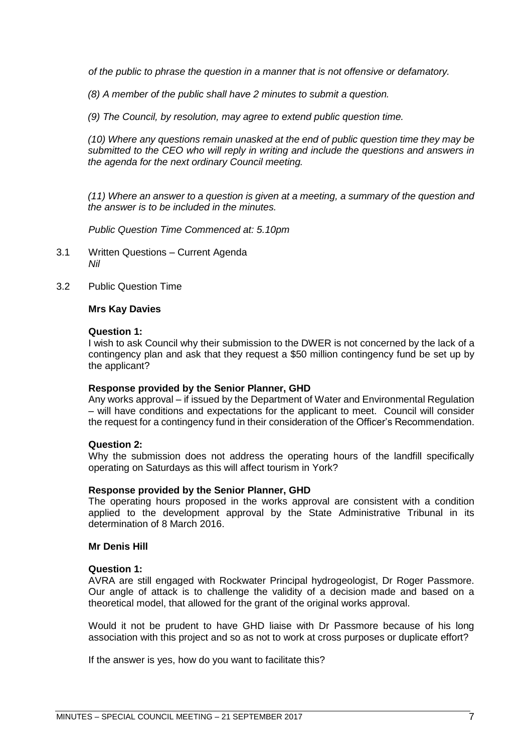*of the public to phrase the question in a manner that is not offensive or defamatory.* 

*(8) A member of the public shall have 2 minutes to submit a question.* 

*(9) The Council, by resolution, may agree to extend public question time.* 

*(10) Where any questions remain unasked at the end of public question time they may be submitted to the CEO who will reply in writing and include the questions and answers in the agenda for the next ordinary Council meeting.* 

*(11) Where an answer to a question is given at a meeting, a summary of the question and the answer is to be included in the minutes.*

*Public Question Time Commenced at: 5.10pm*

- <span id="page-6-0"></span>3.1 Written Questions – Current Agenda *Nil*
- <span id="page-6-1"></span>3.2 Public Question Time

# **Mrs Kay Davies**

# **Question 1:**

I wish to ask Council why their submission to the DWER is not concerned by the lack of a contingency plan and ask that they request a \$50 million contingency fund be set up by the applicant?

# **Response provided by the Senior Planner, GHD**

Any works approval – if issued by the Department of Water and Environmental Regulation – will have conditions and expectations for the applicant to meet. Council will consider the request for a contingency fund in their consideration of the Officer's Recommendation.

# **Question 2:**

Why the submission does not address the operating hours of the landfill specifically operating on Saturdays as this will affect tourism in York?

# **Response provided by the Senior Planner, GHD**

The operating hours proposed in the works approval are consistent with a condition applied to the development approval by the State Administrative Tribunal in its determination of 8 March 2016.

# **Mr Denis Hill**

# **Question 1:**

AVRA are still engaged with Rockwater Principal hydrogeologist, Dr Roger Passmore. Our angle of attack is to challenge the validity of a decision made and based on a theoretical model, that allowed for the grant of the original works approval.

Would it not be prudent to have GHD liaise with Dr Passmore because of his long association with this project and so as not to work at cross purposes or duplicate effort?

If the answer is yes, how do you want to facilitate this?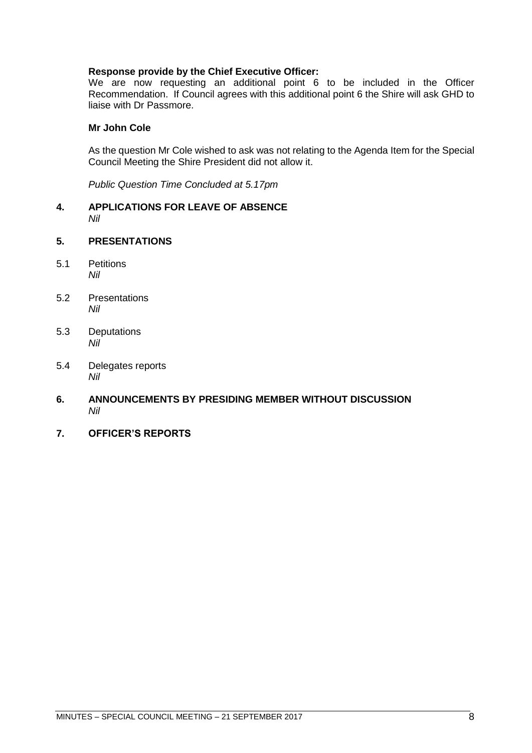# **Response provide by the Chief Executive Officer:**

We are now requesting an additional point 6 to be included in the Officer Recommendation. If Council agrees with this additional point 6 the Shire will ask GHD to liaise with Dr Passmore.

# **Mr John Cole**

As the question Mr Cole wished to ask was not relating to the Agenda Item for the Special Council Meeting the Shire President did not allow it.

*Public Question Time Concluded at 5.17pm*

- <span id="page-7-0"></span>**4. APPLICATIONS FOR LEAVE OF ABSENCE**  *Nil*
- <span id="page-7-1"></span>**5. PRESENTATIONS**
- <span id="page-7-2"></span>5.1 Petitions *Nil*
- <span id="page-7-3"></span>5.2 Presentations *Nil*
- <span id="page-7-4"></span>5.3 Deputations *Nil*
- <span id="page-7-5"></span>5.4 Delegates reports *Nil*
- <span id="page-7-6"></span>**6. ANNOUNCEMENTS BY PRESIDING MEMBER WITHOUT DISCUSSION** *Nil*
- <span id="page-7-7"></span>**7. OFFICER'S REPORTS**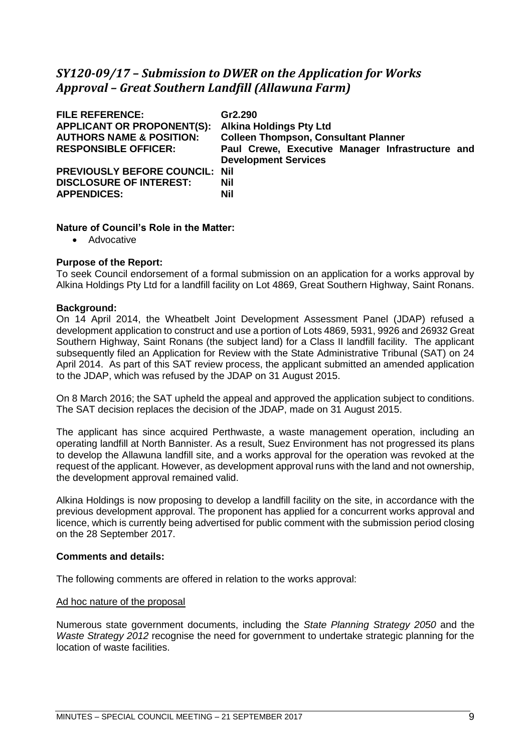# <span id="page-8-0"></span>*SY120-09/17 – Submission to DWER on the Application for Works Approval – Great Southern Landfill (Allawuna Farm)*

| <b>FILE REFERENCE:</b><br><b>APPLICANT OR PROPONENT(S):</b><br><b>AUTHORS NAME &amp; POSITION:</b><br><b>RESPONSIBLE OFFICER:</b> | Gr2.290<br><b>Alkina Holdings Pty Ltd</b><br><b>Colleen Thompson, Consultant Planner</b><br>Paul Crewe, Executive Manager Infrastructure and<br><b>Development Services</b> |  |  |
|-----------------------------------------------------------------------------------------------------------------------------------|-----------------------------------------------------------------------------------------------------------------------------------------------------------------------------|--|--|
| <b>PREVIOUSLY BEFORE COUNCIL: Nil</b><br><b>DISCLOSURE OF INTEREST:</b><br><b>APPENDICES:</b>                                     | Nil<br><b>Nil</b>                                                                                                                                                           |  |  |

# **Nature of Council's Role in the Matter:**

• Advocative

# **Purpose of the Report:**

To seek Council endorsement of a formal submission on an application for a works approval by Alkina Holdings Pty Ltd for a landfill facility on Lot 4869, Great Southern Highway, Saint Ronans.

# **Background:**

On 14 April 2014, the Wheatbelt Joint Development Assessment Panel (JDAP) refused a development application to construct and use a portion of Lots 4869, 5931, 9926 and 26932 Great Southern Highway, Saint Ronans (the subject land) for a Class II landfill facility. The applicant subsequently filed an Application for Review with the State Administrative Tribunal (SAT) on 24 April 2014. As part of this SAT review process, the applicant submitted an amended application to the JDAP, which was refused by the JDAP on 31 August 2015.

On 8 March 2016; the SAT upheld the appeal and approved the application subject to conditions. The SAT decision replaces the decision of the JDAP, made on 31 August 2015.

The applicant has since acquired Perthwaste, a waste management operation, including an operating landfill at North Bannister. As a result, Suez Environment has not progressed its plans to develop the Allawuna landfill site, and a works approval for the operation was revoked at the request of the applicant. However, as development approval runs with the land and not ownership, the development approval remained valid.

Alkina Holdings is now proposing to develop a landfill facility on the site, in accordance with the previous development approval. The proponent has applied for a concurrent works approval and licence, which is currently being advertised for public comment with the submission period closing on the 28 September 2017.

# **Comments and details:**

The following comments are offered in relation to the works approval:

# Ad hoc nature of the proposal

Numerous state government documents, including the *State Planning Strategy 2050* and the *Waste Strategy 2012* recognise the need for government to undertake strategic planning for the location of waste facilities.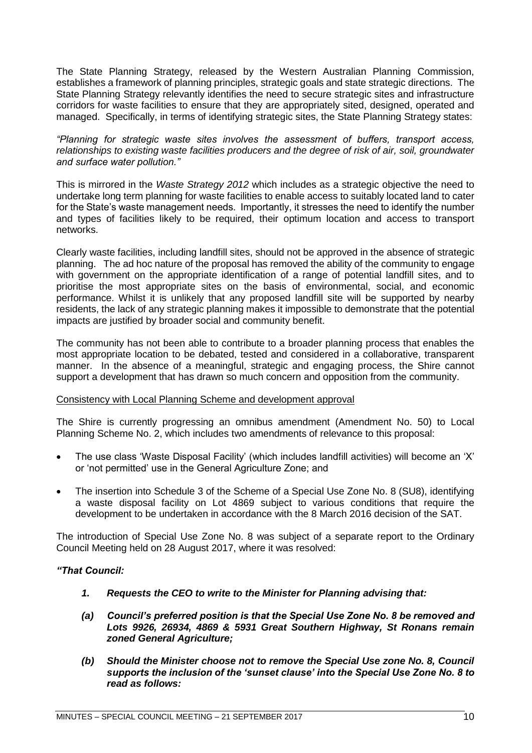The State Planning Strategy, released by the Western Australian Planning Commission, establishes a framework of planning principles, strategic goals and state strategic directions. The State Planning Strategy relevantly identifies the need to secure strategic sites and infrastructure corridors for waste facilities to ensure that they are appropriately sited, designed, operated and managed. Specifically, in terms of identifying strategic sites, the State Planning Strategy states:

*"Planning for strategic waste sites involves the assessment of buffers, transport access, relationships to existing waste facilities producers and the degree of risk of air, soil, groundwater and surface water pollution."* 

This is mirrored in the *Waste Strategy 2012* which includes as a strategic objective the need to undertake long term planning for waste facilities to enable access to suitably located land to cater for the State's waste management needs. Importantly, it stresses the need to identify the number and types of facilities likely to be required, their optimum location and access to transport networks.

Clearly waste facilities, including landfill sites, should not be approved in the absence of strategic planning. The ad hoc nature of the proposal has removed the ability of the community to engage with government on the appropriate identification of a range of potential landfill sites, and to prioritise the most appropriate sites on the basis of environmental, social, and economic performance. Whilst it is unlikely that any proposed landfill site will be supported by nearby residents, the lack of any strategic planning makes it impossible to demonstrate that the potential impacts are justified by broader social and community benefit.

The community has not been able to contribute to a broader planning process that enables the most appropriate location to be debated, tested and considered in a collaborative, transparent manner. In the absence of a meaningful, strategic and engaging process, the Shire cannot support a development that has drawn so much concern and opposition from the community.

# Consistency with Local Planning Scheme and development approval

The Shire is currently progressing an omnibus amendment (Amendment No. 50) to Local Planning Scheme No. 2, which includes two amendments of relevance to this proposal:

- The use class 'Waste Disposal Facility' (which includes landfill activities) will become an 'X' or 'not permitted' use in the General Agriculture Zone; and
- The insertion into Schedule 3 of the Scheme of a Special Use Zone No. 8 (SU8), identifying a waste disposal facility on Lot 4869 subject to various conditions that require the development to be undertaken in accordance with the 8 March 2016 decision of the SAT.

The introduction of Special Use Zone No. 8 was subject of a separate report to the Ordinary Council Meeting held on 28 August 2017, where it was resolved:

# *"That Council:*

- *1. Requests the CEO to write to the Minister for Planning advising that:*
- *(a) Council's preferred position is that the Special Use Zone No. 8 be removed and Lots 9926, 26934, 4869 & 5931 Great Southern Highway, St Ronans remain zoned General Agriculture;*
- *(b) Should the Minister choose not to remove the Special Use zone No. 8, Council supports the inclusion of the 'sunset clause' into the Special Use Zone No. 8 to read as follows:*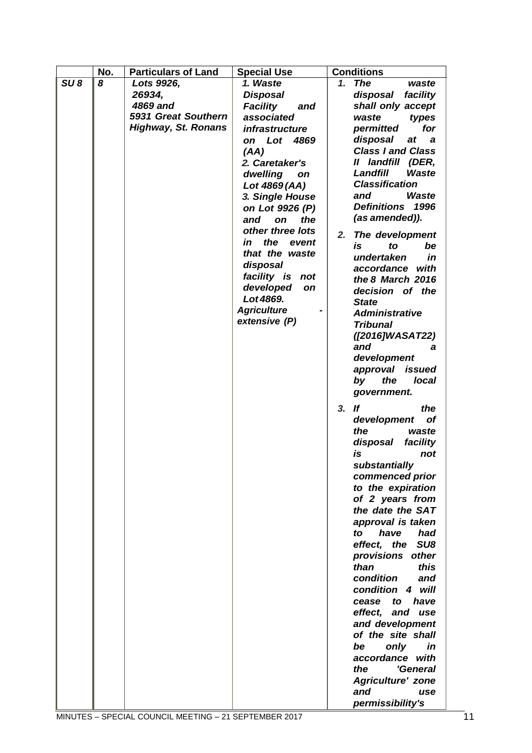|                 | No. | <b>Particulars of Land</b> | <b>Special Use</b>            | <b>Conditions</b>                                 |
|-----------------|-----|----------------------------|-------------------------------|---------------------------------------------------|
| SU <sub>8</sub> | 8   | Lots 9926,                 | 1. Waste                      | <b>The</b><br>1.<br>waste                         |
|                 |     | 26934.                     | <b>Disposal</b>               | disposal<br>facility                              |
|                 |     | 4869 and                   | <b>Facility</b><br>and        | shall only accept                                 |
|                 |     | 5931 Great Southern        | associated                    | waste<br>types                                    |
|                 |     | <b>Highway, St. Ronans</b> | infrastructure                | for<br>permitted                                  |
|                 |     |                            | on Lot 4869                   | disposal<br>at<br>a a                             |
|                 |     |                            | (AA)                          | <b>Class I and Class</b>                          |
|                 |     |                            | 2. Caretaker's                | II landfill (DER,                                 |
|                 |     |                            | dwelling<br>on                | <b>Waste</b><br>Landfill                          |
|                 |     |                            | Lot 4869 (AA)                 | <b>Classification</b>                             |
|                 |     |                            | 3. Single House               | <b>Waste</b><br>and<br><b>Definitions</b><br>1996 |
|                 |     |                            | on Lot 9926 (P)               |                                                   |
|                 |     |                            | and<br>the<br>on              | (as amended)).                                    |
|                 |     |                            | other three lots<br>the       | 2.<br>The development                             |
|                 |     |                            | in<br>event<br>that the waste | is<br>to<br>be                                    |
|                 |     |                            | disposal                      | undertaken<br>in                                  |
|                 |     |                            | facility is not               | accordance with                                   |
|                 |     |                            | developed<br><b>on</b>        | the 8 March 2016                                  |
|                 |     |                            | Lot 4869.                     | decision of the                                   |
|                 |     |                            | <b>Agriculture</b>            | <b>State</b><br><b>Administrative</b>             |
|                 |     |                            | extensive (P)                 | <b>Tribunal</b>                                   |
|                 |     |                            |                               | ([2016]WASAT22)                                   |
|                 |     |                            |                               | and<br>а                                          |
|                 |     |                            |                               | development                                       |
|                 |     |                            |                               | approval issued                                   |
|                 |     |                            |                               | the<br>local<br>by                                |
|                 |     |                            |                               | government.                                       |
|                 |     |                            |                               |                                                   |
|                 |     |                            |                               | 3. If<br>the<br><b>of</b>                         |
|                 |     |                            |                               | development<br>the<br>waste                       |
|                 |     |                            |                               | facility<br>disposal                              |
|                 |     |                            |                               | is<br>not                                         |
|                 |     |                            |                               | substantially                                     |
|                 |     |                            |                               | commenced prior                                   |
|                 |     |                            |                               | to the expiration                                 |
|                 |     |                            |                               | of 2 years from                                   |
|                 |     |                            |                               | the date the SAT                                  |
|                 |     |                            |                               | approval is taken                                 |
|                 |     |                            |                               | have<br>had<br>to                                 |
|                 |     |                            |                               | SU <sub>8</sub><br>effect, the                    |
|                 |     |                            |                               | provisions other                                  |
|                 |     |                            |                               | this<br>than                                      |
|                 |     |                            |                               | condition<br>and                                  |
|                 |     |                            |                               | condition 4 will                                  |
|                 |     |                            |                               | have<br>cease<br>to                               |
|                 |     |                            |                               | effect,<br>and use                                |
|                 |     |                            |                               | and development                                   |
|                 |     |                            |                               | of the site shall                                 |
|                 |     |                            |                               | only<br>in<br>be                                  |
|                 |     |                            |                               | accordance with<br>'General<br>the                |
|                 |     |                            |                               | <b>Agriculture' zone</b>                          |
|                 |     |                            |                               | and<br>use                                        |
|                 |     |                            |                               | permissibility's                                  |
|                 |     |                            |                               |                                                   |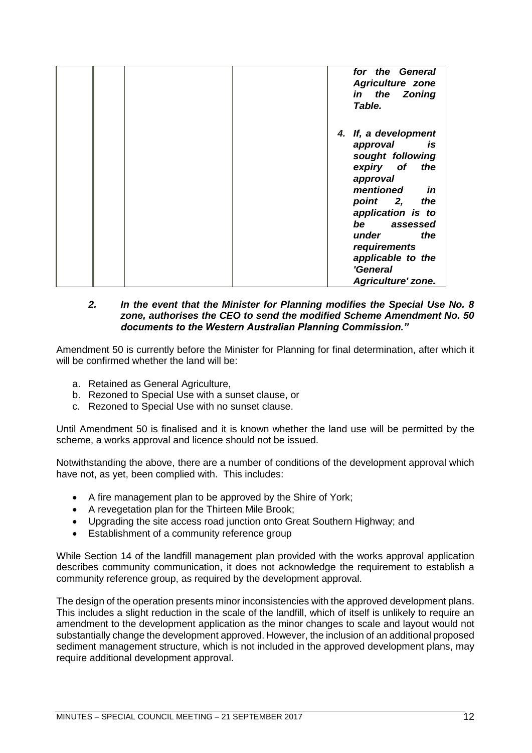|  | for the General<br><b>Agriculture zone</b><br>in the Zoning<br>Table.                                                                                                                                                                                       |
|--|-------------------------------------------------------------------------------------------------------------------------------------------------------------------------------------------------------------------------------------------------------------|
|  | 4. If, a development<br>approval<br>is<br>sought following<br>expiry of<br>the<br>approval<br>mentioned<br>in<br>point 2,<br>the<br>application is to<br>be assessed<br>the<br>under<br>requirements<br>applicable to the<br>'General<br>Agriculture' zone. |

# *2. In the event that the Minister for Planning modifies the Special Use No. 8 zone, authorises the CEO to send the modified Scheme Amendment No. 50 documents to the Western Australian Planning Commission."*

Amendment 50 is currently before the Minister for Planning for final determination, after which it will be confirmed whether the land will be:

- a. Retained as General Agriculture,
- b. Rezoned to Special Use with a sunset clause, or
- c. Rezoned to Special Use with no sunset clause.

Until Amendment 50 is finalised and it is known whether the land use will be permitted by the scheme, a works approval and licence should not be issued.

Notwithstanding the above, there are a number of conditions of the development approval which have not, as yet, been complied with. This includes:

- A fire management plan to be approved by the Shire of York;
- A revegetation plan for the Thirteen Mile Brook;
- Upgrading the site access road junction onto Great Southern Highway; and
- Establishment of a community reference group

While Section 14 of the landfill management plan provided with the works approval application describes community communication, it does not acknowledge the requirement to establish a community reference group, as required by the development approval.

The design of the operation presents minor inconsistencies with the approved development plans. This includes a slight reduction in the scale of the landfill, which of itself is unlikely to require an amendment to the development application as the minor changes to scale and layout would not substantially change the development approved. However, the inclusion of an additional proposed sediment management structure, which is not included in the approved development plans, may require additional development approval.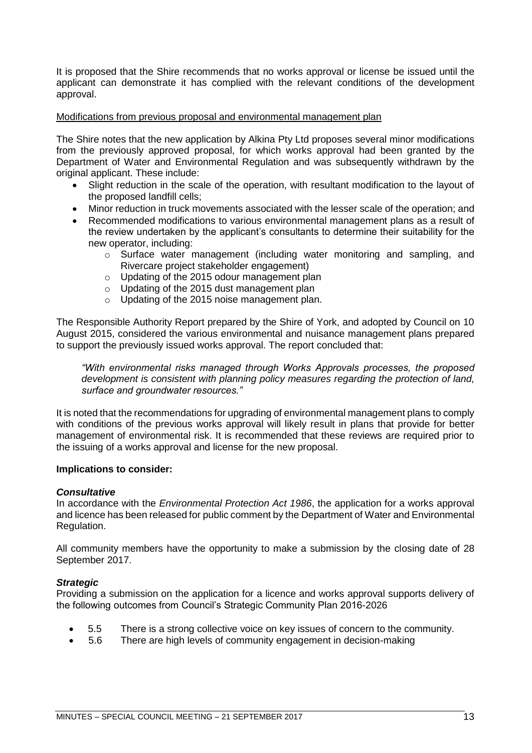It is proposed that the Shire recommends that no works approval or license be issued until the applicant can demonstrate it has complied with the relevant conditions of the development approval.

# Modifications from previous proposal and environmental management plan

The Shire notes that the new application by Alkina Pty Ltd proposes several minor modifications from the previously approved proposal, for which works approval had been granted by the Department of Water and Environmental Regulation and was subsequently withdrawn by the original applicant. These include:

- Slight reduction in the scale of the operation, with resultant modification to the layout of the proposed landfill cells;
- Minor reduction in truck movements associated with the lesser scale of the operation; and
- Recommended modifications to various environmental management plans as a result of the review undertaken by the applicant's consultants to determine their suitability for the new operator, including:
	- o Surface water management (including water monitoring and sampling, and Rivercare project stakeholder engagement)
	- o Updating of the 2015 odour management plan
	- o Updating of the 2015 dust management plan
	- o Updating of the 2015 noise management plan.

The Responsible Authority Report prepared by the Shire of York, and adopted by Council on 10 August 2015, considered the various environmental and nuisance management plans prepared to support the previously issued works approval. The report concluded that:

*"With environmental risks managed through Works Approvals processes, the proposed development is consistent with planning policy measures regarding the protection of land, surface and groundwater resources."*

It is noted that the recommendations for upgrading of environmental management plans to comply with conditions of the previous works approval will likely result in plans that provide for better management of environmental risk. It is recommended that these reviews are required prior to the issuing of a works approval and license for the new proposal.

# **Implications to consider:**

# *Consultative*

In accordance with the *Environmental Protection Act 1986*, the application for a works approval and licence has been released for public comment by the Department of Water and Environmental Regulation.

All community members have the opportunity to make a submission by the closing date of 28 September 2017.

# *Strategic*

Providing a submission on the application for a licence and works approval supports delivery of the following outcomes from Council's Strategic Community Plan 2016-2026

- 5.5 There is a strong collective voice on key issues of concern to the community.
- 5.6 There are high levels of community engagement in decision-making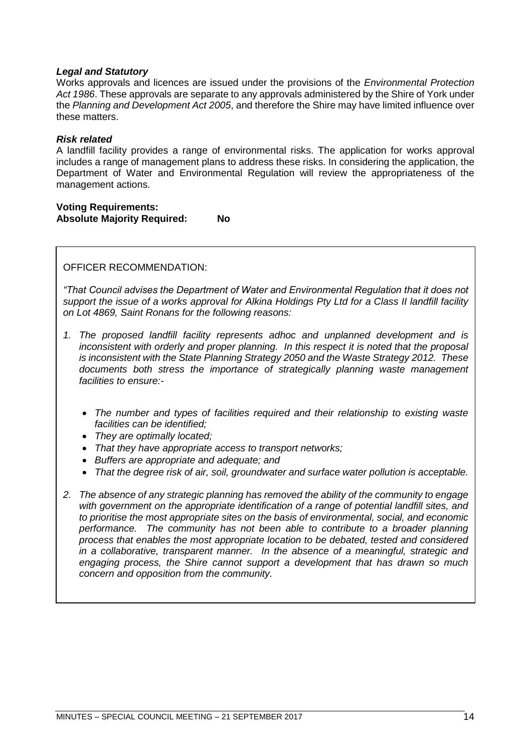# *Legal and Statutory*

Works approvals and licences are issued under the provisions of the *Environmental Protection Act 1986*. These approvals are separate to any approvals administered by the Shire of York under the *Planning and Development Act 2005*, and therefore the Shire may have limited influence over these matters.

# *Risk related*

A landfill facility provides a range of environmental risks. The application for works approval includes a range of management plans to address these risks. In considering the application, the Department of Water and Environmental Regulation will review the appropriateness of the management actions.

# **Voting Requirements: Absolute Majority Required: No**

OFFICER RECOMMENDATION:

*"That Council advises the Department of Water and Environmental Regulation that it does not support the issue of a works approval for Alkina Holdings Pty Ltd for a Class II landfill facility on Lot 4869, Saint Ronans for the following reasons:*

- *1. The proposed landfill facility represents adhoc and unplanned development and is inconsistent with orderly and proper planning. In this respect it is noted that the proposal is inconsistent with the State Planning Strategy 2050 and the Waste Strategy 2012. These documents both stress the importance of strategically planning waste management facilities to ensure:-*
	- *The number and types of facilities required and their relationship to existing waste facilities can be identified;*
	- *They are optimally located;*
	- *That they have appropriate access to transport networks;*
	- *Buffers are appropriate and adequate; and*
	- *That the degree risk of air, soil, groundwater and surface water pollution is acceptable.*
- *2. The absence of any strategic planning has removed the ability of the community to engage with government on the appropriate identification of a range of potential landfill sites, and to prioritise the most appropriate sites on the basis of environmental, social, and economic performance. The community has not been able to contribute to a broader planning process that enables the most appropriate location to be debated, tested and considered in a collaborative, transparent manner. In the absence of a meaningful, strategic and engaging process, the Shire cannot support a development that has drawn so much concern and opposition from the community.*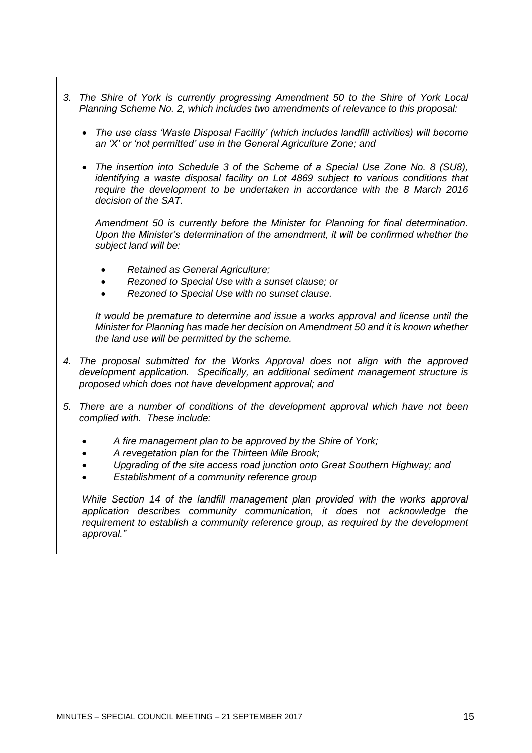- *3. The Shire of York is currently progressing Amendment 50 to the Shire of York Local Planning Scheme No. 2, which includes two amendments of relevance to this proposal:*
	- *The use class 'Waste Disposal Facility' (which includes landfill activities) will become an 'X' or 'not permitted' use in the General Agriculture Zone; and*
	- *The insertion into Schedule 3 of the Scheme of a Special Use Zone No. 8 (SU8), identifying a waste disposal facility on Lot 4869 subject to various conditions that require the development to be undertaken in accordance with the 8 March 2016 decision of the SAT.*

*Amendment 50 is currently before the Minister for Planning for final determination. Upon the Minister's determination of the amendment, it will be confirmed whether the subject land will be:*

- *Retained as General Agriculture;*
- *Rezoned to Special Use with a sunset clause; or*
- *Rezoned to Special Use with no sunset clause.*

*It would be premature to determine and issue a works approval and license until the Minister for Planning has made her decision on Amendment 50 and it is known whether the land use will be permitted by the scheme.*

- *4. The proposal submitted for the Works Approval does not align with the approved development application. Specifically, an additional sediment management structure is proposed which does not have development approval; and*
- *5. There are a number of conditions of the development approval which have not been complied with. These include:*
	- *A fire management plan to be approved by the Shire of York;*
	- *A revegetation plan for the Thirteen Mile Brook;*
	- *Upgrading of the site access road junction onto Great Southern Highway; and*
	- *Establishment of a community reference group*

*While Section 14 of the landfill management plan provided with the works approval application describes community communication, it does not acknowledge the requirement to establish a community reference group, as required by the development approval."*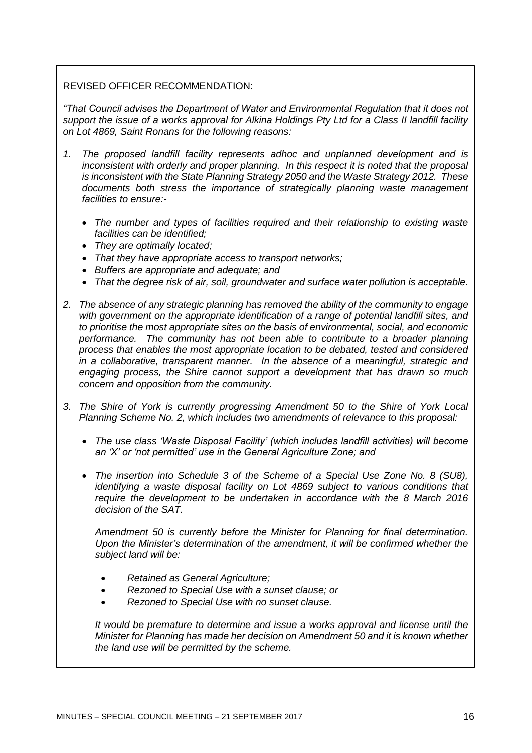# REVISED OFFICER RECOMMENDATION:

*"That Council advises the Department of Water and Environmental Regulation that it does not support the issue of a works approval for Alkina Holdings Pty Ltd for a Class II landfill facility on Lot 4869, Saint Ronans for the following reasons:*

- *1. The proposed landfill facility represents adhoc and unplanned development and is inconsistent with orderly and proper planning. In this respect it is noted that the proposal is inconsistent with the State Planning Strategy 2050 and the Waste Strategy 2012. These documents both stress the importance of strategically planning waste management facilities to ensure:-*
	- *The number and types of facilities required and their relationship to existing waste facilities can be identified;*
	- *They are optimally located;*
	- *That they have appropriate access to transport networks;*
	- *Buffers are appropriate and adequate; and*
	- *That the degree risk of air, soil, groundwater and surface water pollution is acceptable.*
- *2. The absence of any strategic planning has removed the ability of the community to engage with government on the appropriate identification of a range of potential landfill sites, and to prioritise the most appropriate sites on the basis of environmental, social, and economic performance. The community has not been able to contribute to a broader planning process that enables the most appropriate location to be debated, tested and considered in a collaborative, transparent manner. In the absence of a meaningful, strategic and engaging process, the Shire cannot support a development that has drawn so much concern and opposition from the community.*
- *3. The Shire of York is currently progressing Amendment 50 to the Shire of York Local Planning Scheme No. 2, which includes two amendments of relevance to this proposal:*
	- *The use class 'Waste Disposal Facility' (which includes landfill activities) will become an 'X' or 'not permitted' use in the General Agriculture Zone; and*
	- *The insertion into Schedule 3 of the Scheme of a Special Use Zone No. 8 (SU8), identifying a waste disposal facility on Lot 4869 subject to various conditions that require the development to be undertaken in accordance with the 8 March 2016 decision of the SAT.*

*Amendment 50 is currently before the Minister for Planning for final determination. Upon the Minister's determination of the amendment, it will be confirmed whether the subject land will be:*

- *Retained as General Agriculture;*
- *Rezoned to Special Use with a sunset clause; or*
- *Rezoned to Special Use with no sunset clause.*

*It would be premature to determine and issue a works approval and license until the Minister for Planning has made her decision on Amendment 50 and it is known whether the land use will be permitted by the scheme.*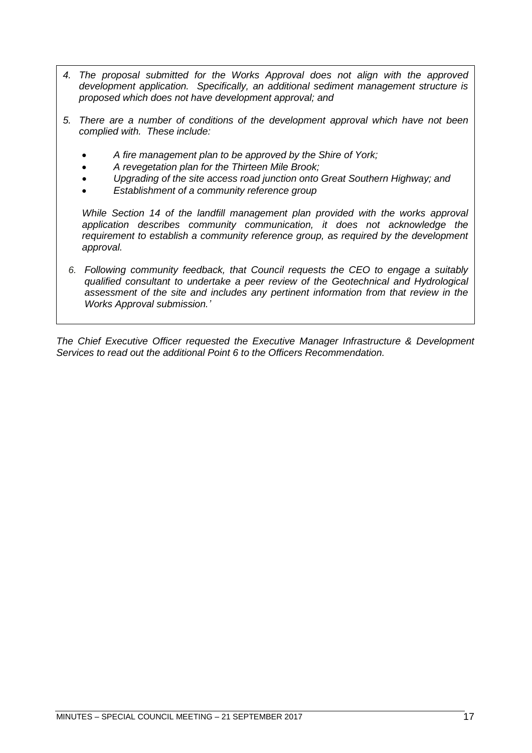- *4. The proposal submitted for the Works Approval does not align with the approved development application. Specifically, an additional sediment management structure is proposed which does not have development approval; and*
- *5. There are a number of conditions of the development approval which have not been complied with. These include:*
	- *A fire management plan to be approved by the Shire of York;*
	- *A revegetation plan for the Thirteen Mile Brook;*
	- *Upgrading of the site access road junction onto Great Southern Highway; and*
	- *Establishment of a community reference group*

*While Section 14 of the landfill management plan provided with the works approval application describes community communication, it does not acknowledge the requirement to establish a community reference group, as required by the development approval.*

*6. Following community feedback, that Council requests the CEO to engage a suitably qualified consultant to undertake a peer review of the Geotechnical and Hydrological assessment of the site and includes any pertinent information from that review in the Works Approval submission.'*

*The Chief Executive Officer requested the Executive Manager Infrastructure & Development Services to read out the additional Point 6 to the Officers Recommendation.*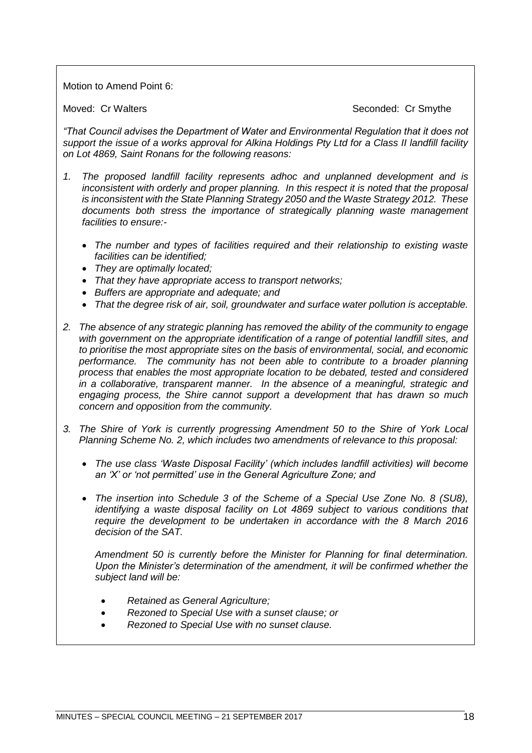Motion to Amend Point 6:

Moved: Cr Walters **Seconded: Cr Smythe** Seconded: Cr Smythe

*"That Council advises the Department of Water and Environmental Regulation that it does not support the issue of a works approval for Alkina Holdings Pty Ltd for a Class II landfill facility on Lot 4869, Saint Ronans for the following reasons:*

- *1. The proposed landfill facility represents adhoc and unplanned development and is inconsistent with orderly and proper planning. In this respect it is noted that the proposal is inconsistent with the State Planning Strategy 2050 and the Waste Strategy 2012. These documents both stress the importance of strategically planning waste management facilities to ensure:-*
	- *The number and types of facilities required and their relationship to existing waste facilities can be identified;*
	- *They are optimally located;*
	- *That they have appropriate access to transport networks;*
	- *Buffers are appropriate and adequate; and*
	- *That the degree risk of air, soil, groundwater and surface water pollution is acceptable.*
- *2. The absence of any strategic planning has removed the ability of the community to engage with government on the appropriate identification of a range of potential landfill sites, and to prioritise the most appropriate sites on the basis of environmental, social, and economic performance. The community has not been able to contribute to a broader planning process that enables the most appropriate location to be debated, tested and considered in a collaborative, transparent manner. In the absence of a meaningful, strategic and engaging process, the Shire cannot support a development that has drawn so much concern and opposition from the community.*
- *3. The Shire of York is currently progressing Amendment 50 to the Shire of York Local Planning Scheme No. 2, which includes two amendments of relevance to this proposal:*
	- *The use class 'Waste Disposal Facility' (which includes landfill activities) will become an 'X' or 'not permitted' use in the General Agriculture Zone; and*
	- *The insertion into Schedule 3 of the Scheme of a Special Use Zone No. 8 (SU8), identifying a waste disposal facility on Lot 4869 subject to various conditions that*  require the development to be undertaken in accordance with the 8 March 2016 *decision of the SAT.*

*Amendment 50 is currently before the Minister for Planning for final determination. Upon the Minister's determination of the amendment, it will be confirmed whether the subject land will be:*

- *Retained as General Agriculture;*
- *Rezoned to Special Use with a sunset clause; or*
- *Rezoned to Special Use with no sunset clause.*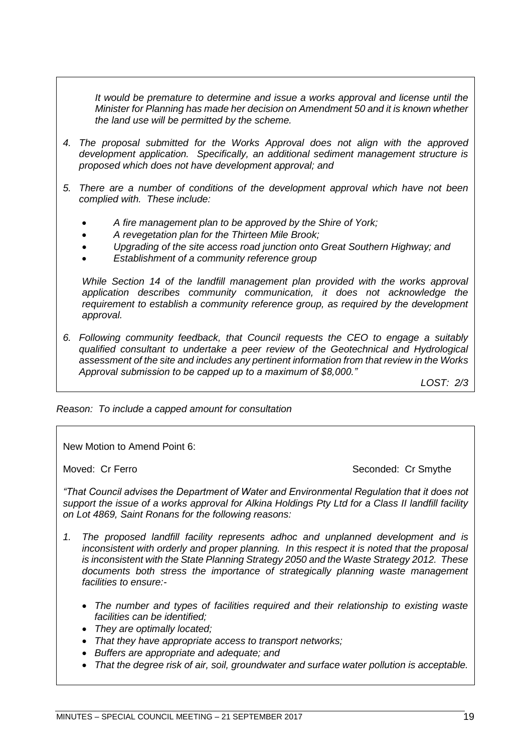*It would be premature to determine and issue a works approval and license until the Minister for Planning has made her decision on Amendment 50 and it is known whether the land use will be permitted by the scheme.*

- *4. The proposal submitted for the Works Approval does not align with the approved development application. Specifically, an additional sediment management structure is proposed which does not have development approval; and*
- *5. There are a number of conditions of the development approval which have not been complied with. These include:*
	- *A fire management plan to be approved by the Shire of York;*
	- *A revegetation plan for the Thirteen Mile Brook;*
	- *Upgrading of the site access road junction onto Great Southern Highway; and*
	- *Establishment of a community reference group*

*While Section 14 of the landfill management plan provided with the works approval application describes community communication, it does not acknowledge the requirement to establish a community reference group, as required by the development approval.*

*6. Following community feedback, that Council requests the CEO to engage a suitably qualified consultant to undertake a peer review of the Geotechnical and Hydrological assessment of the site and includes any pertinent information from that review in the Works Approval submission to be capped up to a maximum of \$8,000."*

*LOST: 2/3*

*Reason: To include a capped amount for consultation*

New Motion to Amend Point 6:

Moved: Cr Ferro **Seconded: Cr Smythe** Seconded: Cr Smythe

*"That Council advises the Department of Water and Environmental Regulation that it does not support the issue of a works approval for Alkina Holdings Pty Ltd for a Class II landfill facility on Lot 4869, Saint Ronans for the following reasons:*

- *1. The proposed landfill facility represents adhoc and unplanned development and is inconsistent with orderly and proper planning. In this respect it is noted that the proposal is inconsistent with the State Planning Strategy 2050 and the Waste Strategy 2012. These documents both stress the importance of strategically planning waste management facilities to ensure:-*
	- *The number and types of facilities required and their relationship to existing waste facilities can be identified;*
	- *They are optimally located;*
	- *That they have appropriate access to transport networks;*
	- *Buffers are appropriate and adequate; and*
	- *That the degree risk of air, soil, groundwater and surface water pollution is acceptable.*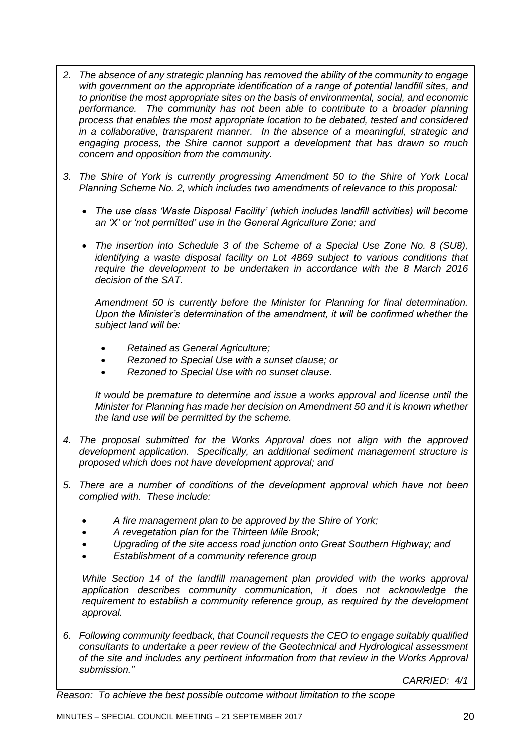- *2. The absence of any strategic planning has removed the ability of the community to engage with government on the appropriate identification of a range of potential landfill sites, and to prioritise the most appropriate sites on the basis of environmental, social, and economic performance. The community has not been able to contribute to a broader planning process that enables the most appropriate location to be debated, tested and considered in a collaborative, transparent manner. In the absence of a meaningful, strategic and engaging process, the Shire cannot support a development that has drawn so much concern and opposition from the community.*
- *3. The Shire of York is currently progressing Amendment 50 to the Shire of York Local Planning Scheme No. 2, which includes two amendments of relevance to this proposal:*
	- *The use class 'Waste Disposal Facility' (which includes landfill activities) will become an 'X' or 'not permitted' use in the General Agriculture Zone; and*
	- *The insertion into Schedule 3 of the Scheme of a Special Use Zone No. 8 (SU8), identifying a waste disposal facility on Lot 4869 subject to various conditions that require the development to be undertaken in accordance with the 8 March 2016 decision of the SAT.*

*Amendment 50 is currently before the Minister for Planning for final determination. Upon the Minister's determination of the amendment, it will be confirmed whether the subject land will be:*

- *Retained as General Agriculture;*
- *Rezoned to Special Use with a sunset clause; or*
- *Rezoned to Special Use with no sunset clause.*

*It would be premature to determine and issue a works approval and license until the Minister for Planning has made her decision on Amendment 50 and it is known whether the land use will be permitted by the scheme.*

- *4. The proposal submitted for the Works Approval does not align with the approved development application. Specifically, an additional sediment management structure is proposed which does not have development approval; and*
- *5. There are a number of conditions of the development approval which have not been complied with. These include:*
	- *A fire management plan to be approved by the Shire of York;*
	- *A revegetation plan for the Thirteen Mile Brook;*
	- *Upgrading of the site access road junction onto Great Southern Highway; and*
	- *Establishment of a community reference group*

*While Section 14 of the landfill management plan provided with the works approval application describes community communication, it does not acknowledge the requirement to establish a community reference group, as required by the development approval.*

*6. Following community feedback, that Council requests the CEO to engage suitably qualified consultants to undertake a peer review of the Geotechnical and Hydrological assessment of the site and includes any pertinent information from that review in the Works Approval submission."*

*CARRIED: 4/1*

*Reason: To achieve the best possible outcome without limitation to the scope*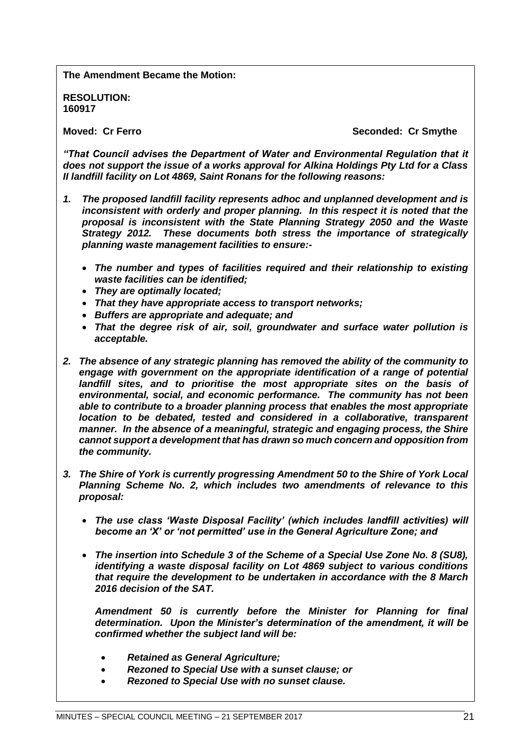**The Amendment Became the Motion:**

**RESOLUTION: 160917**

**Moved: Cr Ferro Seconded: Cr Smythe**

*"That Council advises the Department of Water and Environmental Regulation that it does not support the issue of a works approval for Alkina Holdings Pty Ltd for a Class II landfill facility on Lot 4869, Saint Ronans for the following reasons:*

- *1. The proposed landfill facility represents adhoc and unplanned development and is inconsistent with orderly and proper planning. In this respect it is noted that the proposal is inconsistent with the State Planning Strategy 2050 and the Waste Strategy 2012. These documents both stress the importance of strategically planning waste management facilities to ensure:-*
	- *The number and types of facilities required and their relationship to existing waste facilities can be identified;*
	- *They are optimally located;*
	- *That they have appropriate access to transport networks;*
	- *Buffers are appropriate and adequate; and*
	- *That the degree risk of air, soil, groundwater and surface water pollution is acceptable.*
- *2. The absence of any strategic planning has removed the ability of the community to engage with government on the appropriate identification of a range of potential landfill sites, and to prioritise the most appropriate sites on the basis of environmental, social, and economic performance. The community has not been able to contribute to a broader planning process that enables the most appropriate location to be debated, tested and considered in a collaborative, transparent manner. In the absence of a meaningful, strategic and engaging process, the Shire cannot support a development that has drawn so much concern and opposition from the community.*
- *3. The Shire of York is currently progressing Amendment 50 to the Shire of York Local Planning Scheme No. 2, which includes two amendments of relevance to this proposal:*
	- *The use class 'Waste Disposal Facility' (which includes landfill activities) will become an 'X' or 'not permitted' use in the General Agriculture Zone; and*
	- *The insertion into Schedule 3 of the Scheme of a Special Use Zone No. 8 (SU8), identifying a waste disposal facility on Lot 4869 subject to various conditions that require the development to be undertaken in accordance with the 8 March 2016 decision of the SAT.*

*Amendment 50 is currently before the Minister for Planning for final determination. Upon the Minister's determination of the amendment, it will be confirmed whether the subject land will be:*

- *Retained as General Agriculture;*
- *Rezoned to Special Use with a sunset clause; or*
- *Rezoned to Special Use with no sunset clause.*